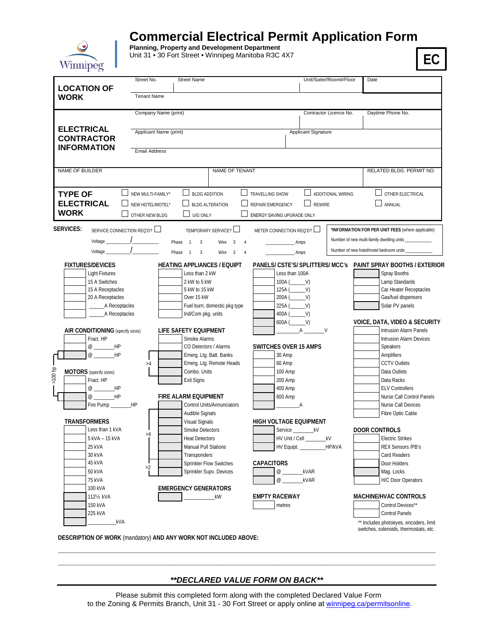

## **Commercial Electrical Permit Application Form**

**Planning, Property and Development Department**  Unit 31 • 30 Fort Street • Winnipeg Manitoba R3C 4X7

**EC**

|                                                                                                                         | Street No.             |                                                                                         |                                | Unit/Suite//Room#/Floor |                                                                                  |
|-------------------------------------------------------------------------------------------------------------------------|------------------------|-----------------------------------------------------------------------------------------|--------------------------------|-------------------------|----------------------------------------------------------------------------------|
| <b>LOCATION OF</b>                                                                                                      |                        | <b>Street Name</b>                                                                      |                                |                         | Date                                                                             |
|                                                                                                                         | <b>Tenant Name</b>     |                                                                                         |                                |                         |                                                                                  |
| <b>WORK</b>                                                                                                             |                        |                                                                                         |                                |                         |                                                                                  |
|                                                                                                                         | Company Name (print)   |                                                                                         |                                | Contractor Licence No.  | Daytime Phone No.                                                                |
|                                                                                                                         |                        |                                                                                         |                                |                         |                                                                                  |
| <b>ELECTRICAL</b>                                                                                                       | Applicant Name (print) |                                                                                         |                                |                         |                                                                                  |
| <b>CONTRACTOR</b>                                                                                                       |                        |                                                                                         | Applicant Signature            |                         |                                                                                  |
| <b>INFORMATION</b>                                                                                                      |                        |                                                                                         |                                |                         |                                                                                  |
|                                                                                                                         | <b>Email Address</b>   |                                                                                         |                                |                         |                                                                                  |
|                                                                                                                         |                        |                                                                                         |                                |                         |                                                                                  |
| NAME OF BUILDER                                                                                                         |                        | NAME OF TENANT                                                                          |                                |                         | RELATED BLDG. PERMIT NO.                                                         |
|                                                                                                                         |                        |                                                                                         |                                |                         |                                                                                  |
|                                                                                                                         |                        |                                                                                         |                                |                         |                                                                                  |
| <b>TYPE OF</b>                                                                                                          | NEW MULTI-FAMILY*      | <b>BLDG ADDITION</b>                                                                    | <b>TRAVELLING SHOW</b>         | ADDITIONAL WIRING       | $\Box$ other electrical                                                          |
| <b>ELECTRICAL</b>                                                                                                       | NEW HOTEL/MOTEL*       | <b>BLDG ALTERATION</b>                                                                  | <b>REPAIR/EMERGENCY</b>        | <b>REWIRE</b>           | ANNUAL                                                                           |
| <b>WORK</b>                                                                                                             | OTHER NEW BLDG         | U/G ONLY                                                                                | ENERGY SAVING UPGRADE ONLY     |                         |                                                                                  |
|                                                                                                                         |                        |                                                                                         |                                |                         |                                                                                  |
| <b>SERVICES:</b><br>SERVICE CONNECTION REQ'D? $\square$                                                                 |                        | TEMPORARY SERVICE?                                                                      | METER CONNECTION REQ'D?        |                         | *INFORMATION FOR PER UNIT FEES (where applicable)                                |
|                                                                                                                         |                        | Phase 1<br>$\overline{\mathbf{3}}$<br>Wire<br>$\overline{\mathbf{3}}$<br>$\overline{4}$ | Amps                           |                         | Number of new multi-family dwelling units ____________                           |
| Voltage $\frac{1}{\sqrt{1-\frac{1}{2}}\sqrt{1-\frac{1}{2}}\sqrt{1-\frac{1}{2}}\sqrt{1-\frac{1}{2}}\sqrt{1-\frac{1}{2}}$ |                        | Phase 1 3<br>Wire 3<br>$\overline{4}$                                                   | Amps                           |                         | Number of new hotel/motel bedroom units ___                                      |
|                                                                                                                         |                        |                                                                                         |                                |                         |                                                                                  |
| <b>FIXTURES/DEVICES</b>                                                                                                 |                        | <b>HEATING APPLIANCES / EQUIPT</b>                                                      |                                |                         | PANELS/ CSTE'S/ SPLITTERS/ MCC's PAINT SPRAY BOOTHS / EXTERIOR                   |
| <b>Light Fixtures</b>                                                                                                   |                        | Less than 2 kW                                                                          | Less than 100A                 |                         | Spray Booths                                                                     |
| 15 A Switches<br>15 A Receptacles                                                                                       |                        | 2 kW to 5 kW<br>5 kW to 15 kW                                                           | $100A$ $(V)$<br>$125A$ ( $V$ ) |                         | Lamp Standards<br>Car Heater Receptacles                                         |
| 20 A Receptacles                                                                                                        |                        | Over 15 kW                                                                              |                                |                         | Gas/fuel dispensers                                                              |
| A Receptacles                                                                                                           |                        | Fuel burn; domestic pkg type                                                            | 225A (V)                       |                         | Solar PV panels                                                                  |
|                                                                                                                         |                        | Ind/Com pkg. units                                                                      | 400A (V)                       |                         |                                                                                  |
|                                                                                                                         |                        |                                                                                         | $600A$ $(V)$                   |                         | <b>VOICE, DATA, VIDEO &amp; SECURITY</b>                                         |
| AIR CONDITIONING (specify sizes)                                                                                        |                        | LIFE SAFETY EQUIPMENT                                                                   | $A \quad \text{or}$            | V                       | <b>Intrusion Alarm Panels</b>                                                    |
| Fract. HP                                                                                                               |                        | Smoke Alarms                                                                            |                                |                         | Intrusion Alarm Devices                                                          |
| @ ______HP                                                                                                              |                        | CO Detectors / Alarms                                                                   | <b>SWITCHES OVER 15 AMPS</b>   |                         | Speakers                                                                         |
| @ HP                                                                                                                    |                        | Emerg. Ltg. Batt. Banks                                                                 | 30 Amp                         |                         | Amplifiers                                                                       |
|                                                                                                                         | >4                     | Emerg. Ltg. Remote Heads                                                                | 60 Amp                         |                         | <b>CCTV Outlets</b>                                                              |
| <b>MOTORS</b> (specify sizes)                                                                                           |                        | Combo. Units                                                                            | 100 Amp                        |                         | Data Outlets                                                                     |
| $>100$ hp<br>Fract. HP                                                                                                  |                        | Exit Signs                                                                              | 200 Amp                        |                         | Data Racks                                                                       |
| @ ________HP                                                                                                            |                        |                                                                                         | 400 Amp                        |                         | <b>ELV Controllers</b>                                                           |
| @ ________HP                                                                                                            |                        | <b>FIRE ALARM EQUIPMENT</b>                                                             | 600 Amp                        |                         | Nurse Call Control Panels                                                        |
| Fire Pump ________HP                                                                                                    |                        | Control Units/Annunciators                                                              | A                              |                         | Nurse Call Devices                                                               |
|                                                                                                                         |                        | Audible Signals                                                                         |                                |                         | Fibre Optic Cable                                                                |
| TRANSFORMERS                                                                                                            |                        | <b>Visual Signals</b>                                                                   | <b>HIGH VOLTAGE EQUIPMENT</b>  |                         |                                                                                  |
| Less than 1 kVA                                                                                                         | >4                     | Smoke Detectors                                                                         | Service                        | _kV                     | <b>DOOR CONTROLS</b>                                                             |
| 5 kVA - 15 kVA                                                                                                          |                        | <b>Heat Detectors</b>                                                                   | HV Unit / Cell __________kV    |                         | <b>Electric Strikes</b>                                                          |
| 25 kVA                                                                                                                  |                        | Manual Pull Stations                                                                    | HV Equipt. ___________HP/kVA   |                         | <b>REX Sensors /PB's</b>                                                         |
| 30 kVA                                                                                                                  |                        | Transponders                                                                            |                                |                         | Card Readers                                                                     |
| 45 kVA                                                                                                                  | >2                     | Sprinkler Flow Switches                                                                 | <b>CAPACITORS</b>              |                         | Door Holders                                                                     |
| <b>50 kVA</b>                                                                                                           |                        | Sprinkler Supv. Devices                                                                 | $\varnothing$<br>kVAR          |                         | Mag. Locks                                                                       |
| 75 kVA                                                                                                                  |                        |                                                                                         | $\omega$<br>kVAR               |                         | <b>H/C Door Operators</b>                                                        |
| 100 kVA                                                                                                                 |                        | <b>EMERGENCY GENERATORS</b>                                                             |                                |                         |                                                                                  |
| 1121/ <sub>2</sub> kVA                                                                                                  |                        | kW                                                                                      | <b>EMPTY RACEWAY</b>           |                         | MACHINE/HVAC CONTROLS                                                            |
| 150 kVA                                                                                                                 |                        |                                                                                         | metres                         |                         | Control Devices**                                                                |
| 225 kVA                                                                                                                 |                        |                                                                                         |                                |                         | <b>Control Panels</b>                                                            |
| _kVA                                                                                                                    |                        |                                                                                         |                                |                         | ** Includes photoeyes, encoders, limit<br>switches, solenoids, thermostats, etc. |

**DESCRIPTION OF WORK** (mandatory) **AND ANY WORK NOT INCLUDED ABOVE:** 

*\*\*DECLARED VALUE FORM ON BACK\*\**

\_\_\_\_\_\_\_\_\_\_\_\_\_\_\_\_\_\_\_\_\_\_\_\_\_\_\_\_\_\_\_\_\_\_\_\_\_\_\_\_\_\_\_\_\_\_\_\_\_\_\_\_\_\_\_\_\_\_\_\_\_\_\_\_\_\_\_\_\_\_\_\_\_\_\_\_\_\_\_\_\_\_\_\_\_\_\_\_\_\_\_\_\_\_\_\_\_\_\_\_\_\_\_\_\_\_\_\_\_\_\_\_\_\_\_\_\_\_\_\_\_\_\_\_\_\_\_\_\_\_\_\_\_\_\_\_\_\_\_\_\_\_\_\_\_\_\_\_\_\_\_\_\_\_\_\_